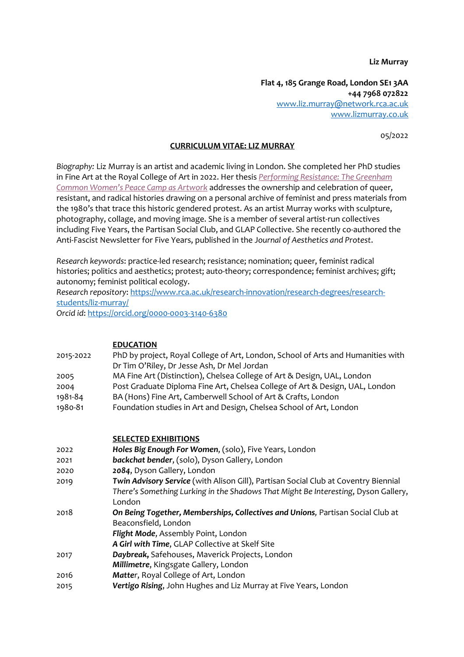**Liz Murray**

**Flat 4, 185 Grange Road, London SE1 3AA +44 7968 072822** www.liz.murray@network.rca.ac.uk www.lizmurray.co.uk

05/2022

## **CURRICULUM VITAE: LIZ MURRAY**

*Biography:* Liz Murray is an artist and academic living in London. She completed her PhD studies in Fine Art at the Royal College of Art in 2022. Her thesis *Performing Resistance: The Greenham Common Women's Peace Camp as Artwork* addresses the ownership and celebration of queer, resistant, and radical histories drawing on a personal archive of feminist and press materials from the 1980's that trace this historic gendered protest. As an artist Murray works with sculpture, photography, collage, and moving image. She is a member of several artist-run collectives including Five Years, the Partisan Social Club, and GLAP Collective. She recently co-authored the Anti-Fascist Newsletter for Five Years, published in the J*ournal of Aesthetics and Protest*.

*Research keywords*: practice-led research; resistance; nomination; queer, feminist radical histories; politics and aesthetics; protest; auto-theory; correspondence; feminist archives; gift; autonomy; feminist political ecology.

*Research repository*: https://www.rca.ac.uk/research-innovation/research-degrees/researchstudents/liz-murray/

*Orcid id*: https://orcid.org/0000-0003-3140-6380

| 2015-2022 | <b>EDUCATION</b><br>PhD by project, Royal College of Art, London, School of Arts and Humanities with |
|-----------|------------------------------------------------------------------------------------------------------|
|           | Dr Tim O'Riley, Dr Jesse Ash, Dr Mel Jordan                                                          |
| 2005      | MA Fine Art (Distinction), Chelsea College of Art & Design, UAL, London                              |
| 2004      | Post Graduate Diploma Fine Art, Chelsea College of Art & Design, UAL, London                         |
| 1981-84   | BA (Hons) Fine Art, Camberwell School of Art & Crafts, London                                        |
| 1980-81   | Foundation studies in Art and Design, Chelsea School of Art, London                                  |
|           |                                                                                                      |
|           | <b>SELECTED EXHIBITIONS</b>                                                                          |
| 2022      | Holes Big Enough For Women, (solo), Five Years, London                                               |
| 2021      | backchat bender, (solo), Dyson Gallery, London                                                       |
| 2020      | 2084, Dyson Gallery, London                                                                          |
| 2019      | Twin Advisory Service (with Alison Gill), Partisan Social Club at Coventry Biennial                  |
|           | There's Something Lurking in the Shadows That Might Be Interesting, Dyson Gallery,                   |
|           | London                                                                                               |
| 2018      | On Being Together, Memberships, Collectives and Unions, Partisan Social Club at                      |
|           | Beaconsfield, London                                                                                 |
|           | Flight Mode, Assembly Point, London                                                                  |
|           | A Girl with Time, GLAP Collective at Skelf Site                                                      |
| 2017      | Daybreak, Safehouses, Maverick Projects, London                                                      |
|           | Millimetre, Kingsgate Gallery, London                                                                |
| 2016      | Matter, Royal College of Art, London                                                                 |
| 2015      | Vertigo Rising, John Hughes and Liz Murray at Five Years, London                                     |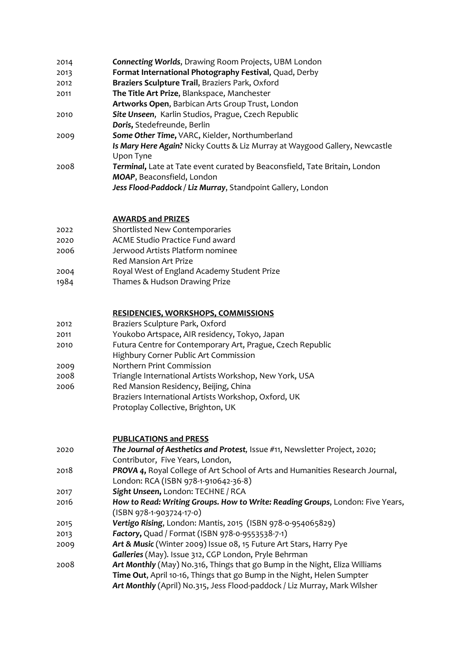| 2014 | <b>Connecting Worlds, Drawing Room Projects, UBM London</b>                                              |
|------|----------------------------------------------------------------------------------------------------------|
| 2013 | Format International Photography Festival, Quad, Derby                                                   |
| 2012 | Braziers Sculpture Trail, Braziers Park, Oxford                                                          |
| 2011 | The Title Art Prize, Blankspace, Manchester                                                              |
|      | Artworks Open, Barbican Arts Group Trust, London                                                         |
| 2010 | Site Unseen, Karlin Studios, Prague, Czech Republic                                                      |
|      | Doris, Stedefreunde, Berlin                                                                              |
| 2009 | Some Other Time, VARC, Kielder, Northumberland                                                           |
|      | Is Mary Here Again? Nicky Coutts & Liz Murray at Waygood Gallery, Newcastle<br>Upon Tyne                 |
| 2008 | Terminal, Late at Tate event curated by Beaconsfield, Tate Britain, London<br>MOAP, Beaconsfield, London |
|      | Jess Flood-Paddock / Liz Murray, Standpoint Gallery, London                                              |

## **AWARDS and PRIZES**

- 2022 Shortlisted New Contemporaries
- 2020 ACME Studio Practice Fund award
- 2006 Jerwood Artists Platform nominee
- Red Mansion Art Prize
- 2004 Royal West of England Academy Student Prize
- 1984 Thames & Hudson Drawing Prize

## **RESIDENCIES, WORKSHOPS, COMMISSIONS**

- 2012 Braziers Sculpture Park, Oxford
- 2011 Youkobo Artspace, AIR residency, Tokyo, Japan
- 2010 Futura Centre for Contemporary Art, Prague, Czech Republic
- Highbury Corner Public Art Commission
- 2009 Northern Print Commission
- 2008 Triangle International Artists Workshop, New York, USA
- 2006 Red Mansion Residency, Beijing, China
	- Braziers International Artists Workshop, Oxford, UK
		- Protoplay Collective, Brighton, UK

## **PUBLICATIONS and PRESS**

- 2020 *The Journal of Aesthetics and Protest,* Issue #11, Newsletter Project, 2020; Contributor, Five Years, London, 2018 *PROVA 4***,** Royal College of Art School of Arts and Humanities Research Journal,
- London: RCA (ISBN 978-1-910642-36-8)
- 2017 *Sight Unseen***,** London: TECHNE / RCA
- 2016 *How to Read: Writing Groups. How to Write: Reading Groups*, London: Five Years, (ISBN 978-1-903724-17-0)
- 2015 *Vertigo Rising*, London: Mantis, 2015 (ISBN 978-0-954065829)
- 2013 *Factory***,** Quad / Format (ISBN 978-0-9553538-7-1)
- 2009 *Art & Music* (Winter 2009) Issue 08, 15 Future Art Stars, Harry Pye Galleries (May). Issue 312, CGP London, Pryle Behrman
- 2008 *Art Monthly* (May) No.316, Things that go Bump in the Night, Eliza Williams **Time Out**, April 10-16, Things that go Bump in the Night, Helen Sumpter *Art Monthly* (April) No.315, Jess Flood-paddock / Liz Murray, Mark Wilsher